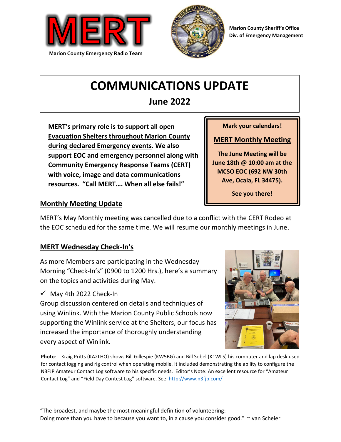



**Marion County Sheriff's Office Div. of Emergency Management**

# **COMMUNICATIONS UPDATE**

## **June 2022**

 **MERT's primary role is to support all open Evacuation Shelters throughout Marion County during declared Emergency events. We also support EOC and emergency personnel along with Community Emergency Response Teams (CERT) with voice, image and data communications resources. "Call MERT…. When all else fails!"**

**Mark your calendars!**

### **MERT Monthly Meeting**

**The June Meeting will be June 18th @ 10:00 am at the MCSO EOC (692 NW 30th Ave, Ocala, FL 34475).**

**See you there!**

### **Monthly Meeting Update**

MERT's May Monthly meeting was cancelled due to a conflict with the CERT Rodeo at the EOC scheduled for the same time. We will resume our monthly meetings in June.

### **MERT Wednesday Check-In's**

As more Members are participating in the Wednesday Morning "Check-In's" (0900 to 1200 Hrs.), here's a summary on the topics and activities during May.

 $\checkmark$  May 4th 2022 Check-In

Group discussion centered on details and techniques of using Winlink. With the Marion County Public Schools now supporting the Winlink service at the Shelters, our focus has increased the importance of thoroughly understanding every aspect of Winlink.



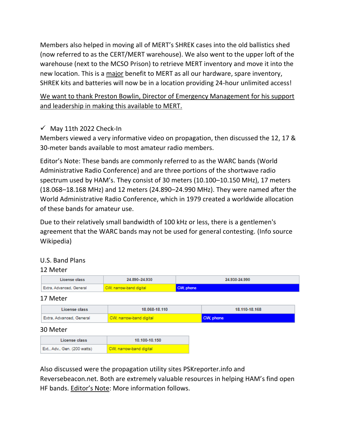Members also helped in moving all of MERT's SHREK cases into the old ballistics shed (now referred to as the CERT/MERT warehouse). We also went to the upper loft of the warehouse (next to the MCSO Prison) to retrieve MERT inventory and move it into the new location. This is a major benefit to MERT as all our hardware, spare inventory, SHREK kits and batteries will now be in a location providing 24-hour unlimited access!

We want to thank Preston Bowlin, Director of Emergency Management for his support and leadership in making this available to MERT.

### $\checkmark$  May 11th 2022 Check-In

Members viewed a very informative video on propagation, then discussed the 12, 17 & 30-meter bands available to most amateur radio members.

Editor's Note: These bands are commonly referred to as the WARC bands (World Administrative Radio Conference) and are three portions of the shortwave radio spectrum used by HAM's. They consist of 30 meters (10.100–10.150 MHz), 17 meters (18.068–18.168 MHz) and 12 meters (24.890–24.990 MHz). They were named after the World Administrative Radio Conference, which in 1979 created a worldwide allocation of these bands for amateur use.

Due to their relatively small bandwidth of 100 kHz or less, there is a gentlemen's agreement that the WARC bands may not be used for general contesting. (Info source Wikipedia)

### U.S. Band Plans

### 12 Meter

| License class                | 24.890-24.930           | 24.930-24.990 |               |
|------------------------------|-------------------------|---------------|---------------|
| Extra, Advanced, General     | CW, narrow-band digital | CW, phone     |               |
| 17 Meter                     |                         |               |               |
| License class                | 18.068-18.110           |               | 18.110-18.168 |
| Extra, Advanced, General     | CW, narrow-band digital |               | CW, phone     |
| 30 Meter                     |                         |               |               |
| License class                | 10.100-10.150           |               |               |
| Ext., Adv., Gen. (200 watts) | CW, narrow-band digital |               |               |

Also discussed were the propagation utility sites PSKreporter.info and Reversebeacon.net. Both are extremely valuable resources in helping HAM's find open HF bands. Editor's Note: More information follows.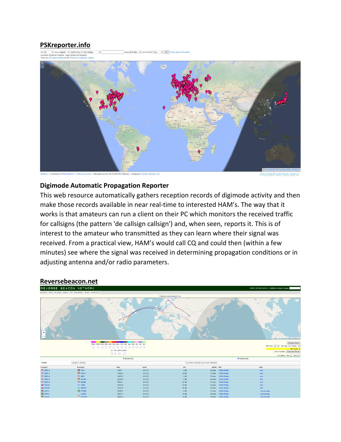## **PSKreporter.info**

ng all modes v over the last 1 hour v Gol Display options if



**PSKREPORTER.INFO** 

### **Digimode Automatic Propagation Reporter**

This web resource automatically gathers reception records of digimode activity and then make those records available in near real-time to interested HAM's. The way that it works is that amateurs can run a client on their PC which monitors the received traffic for callsigns (the pattern 'de callsign callsign') and, when seen, reports it. This is of interest to the amateur who transmitted as they can learn where their signal was received. From a practical view, HAM's would call CQ and could then (within a few minutes) see where the signal was received in determining propagation conditions or in adjusting antenna and/or radio parameters.

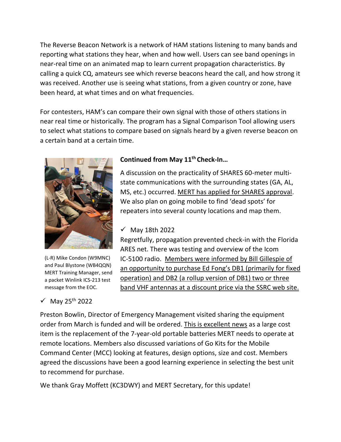The Reverse Beacon Network is a network of HAM stations listening to many bands and reporting what stations they hear, when and how well. Users can see band openings in near-real time on an animated map to learn current propagation characteristics. By calling a quick CQ, amateurs see which reverse beacons heard the call, and how strong it was received. Another use is seeing what stations, from a given country or zone, have been heard, at what times and on what frequencies.

For contesters, HAM's can compare their own signal with those of others stations in near real time or historically. The program has a Signal Comparison Tool allowing users to select what stations to compare based on signals heard by a given reverse beacon on a certain band at a certain time.



(L-R) Mike Condon (W9MNC) and Paul Blystone (WB4QQN) MERT Training Manager, send a packet Winlink ICS-213 test message from the EOC.

### $\checkmark$  May 25<sup>th</sup> 2022

### **Continued from May 11th Check-In…**

A discussion on the practicality of SHARES 60-meter multistate communications with the surrounding states (GA, AL, MS, etc.) occurred. MERT has applied for SHARES approval. We also plan on going mobile to find 'dead spots' for repeaters into several county locations and map them.

### ✓ May 18th 2022

Regretfully, propagation prevented check-in with the Florida ARES net. There was testing and overview of the Icom IC-5100 radio. Members were informed by Bill Gillespie of an opportunity to purchase Ed Fong's DB1 (primarily for fixed operation) and DB2 (a rollup version of DB1) two or three band VHF antennas at a discount price via the SSRC web site.

Preston Bowlin, Director of Emergency Management visited sharing the equipment order from March is funded and will be ordered. This is excellent news as a large cost item is the replacement of the 7-year-old portable batteries MERT needs to operate at remote locations. Members also discussed variations of Go Kits for the Mobile Command Center (MCC) looking at features, design options, size and cost. Members agreed the discussions have been a good learning experience in selecting the best unit to recommend for purchase.

We thank Gray Moffett (KC3DWY) and MERT Secretary, for this update!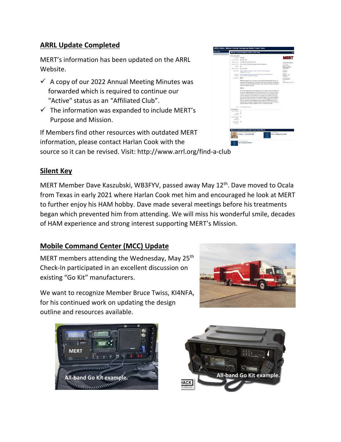### **ARRL Update Completed**

MERT's information has been updated on the ARRL Website.

- $\checkmark$  A copy of our 2022 Annual Meeting Minutes was forwarded which is required to continue our "Active" status as an "Affiliated Club".
- $\checkmark$  The information was expanded to include MERT's Purpose and Mission.

If Members find other resources with outdated MERT information, please contact Harlan Cook with the source so it can be revised. Visit: http://www.arrl.org/find-a-club

|                              | Marion County Emergency Radio Comm Team                                                                                                                                                                                                                                                                                                                                                                                                                                                                                                                                                                                                                                                                                                      |                                                                                                                                         |
|------------------------------|----------------------------------------------------------------------------------------------------------------------------------------------------------------------------------------------------------------------------------------------------------------------------------------------------------------------------------------------------------------------------------------------------------------------------------------------------------------------------------------------------------------------------------------------------------------------------------------------------------------------------------------------------------------------------------------------------------------------------------------------|-----------------------------------------------------------------------------------------------------------------------------------------|
| <b>Daris Information</b>     |                                                                                                                                                                                                                                                                                                                                                                                                                                                                                                                                                                                                                                                                                                                                              |                                                                                                                                         |
| Call Sun. KG4000             |                                                                                                                                                                                                                                                                                                                                                                                                                                                                                                                                                                                                                                                                                                                                              | <b>MERT</b>                                                                                                                             |
| Annual Report May 28th 2022  |                                                                                                                                                                                                                                                                                                                                                                                                                                                                                                                                                                                                                                                                                                                                              |                                                                                                                                         |
|                              | Meeting Time: Third Saturday Monthly at 10 AM                                                                                                                                                                                                                                                                                                                                                                                                                                                                                                                                                                                                                                                                                                | Contact Information                                                                                                                     |
| Meating Place                | Marion County Emergency Operations Center Classroom                                                                                                                                                                                                                                                                                                                                                                                                                                                                                                                                                                                                                                                                                          | Old: Name                                                                                                                               |
| Sachan MFL                   |                                                                                                                                                                                                                                                                                                                                                                                                                                                                                                                                                                                                                                                                                                                                              | Marion County<br><b>Emergency Radio</b>                                                                                                 |
| ARK allon Core Mar 12th 2020 |                                                                                                                                                                                                                                                                                                                                                                                                                                                                                                                                                                                                                                                                                                                                              | Coryr Team                                                                                                                              |
| Specialize:                  | Digital Modes, CIX, General Imerest, Public Service/Emergency,<br>Repeaters, Williams                                                                                                                                                                                                                                                                                                                                                                                                                                                                                                                                                                                                                                                        | Call Sign<br>HIGHNAID.<br>Costart<br>Harlan L. Cook<br>1044/858<br>Dealing Phone:<br>(352) 389-0104<br><b>Dreat</b><br>lg41c@ratons.com |
| Offered.                     | Denitos Club Newsletter, Entry-Level Libertee Cleanes, Libertee Text Sessions,<br>Mentor, Packet Racio 8693, Receater                                                                                                                                                                                                                                                                                                                                                                                                                                                                                                                                                                                                                        |                                                                                                                                         |
| Opportunities                | <b>MERT</b>                                                                                                                                                                                                                                                                                                                                                                                                                                                                                                                                                                                                                                                                                                                                  |                                                                                                                                         |
|                              | MERT was established by the Marion County Sheriff's Office (MCSQ) Division of<br>Emergency Management to provide Sheriff Office vetted. Emergency Management<br>protecters ordinately insertion obey using teamed DDT bre benefit looking<br>considers wherever required.                                                                                                                                                                                                                                                                                                                                                                                                                                                                    |                                                                                                                                         |
|                              | Mission                                                                                                                                                                                                                                                                                                                                                                                                                                                                                                                                                                                                                                                                                                                                      |                                                                                                                                         |
|                              | (fight start of hopping shoften and unsered utilized of bestpace saw TRBM<br>as Shellers, Healthcare Facilities, Points of Distribution (POD), Mobile Command-<br>Certer (MCC) coerations and county CERT communities during disasters when<br>traditional telecommunications services have falsed or not available. They assist<br>with moving entired and valuable voice, data and image communications between<br>apercies and locations about atom information, reasource needs and requests to<br>and from various local and state covernmental apendes. MERT personnel and<br>the equipment they use are capable of connrumicating with similar local, state and<br>national facilities whenever necessary. MERT is SHARES authorized. |                                                                                                                                         |
| Links                        | <b>Mid-Fewwe April ad only</b>                                                                                                                                                                                                                                                                                                                                                                                                                                                                                                                                                                                                                                                                                                               |                                                                                                                                         |
| <b>Club Statistics</b>       |                                                                                                                                                                                                                                                                                                                                                                                                                                                                                                                                                                                                                                                                                                                                              |                                                                                                                                         |
| Cub Memory 37                |                                                                                                                                                                                                                                                                                                                                                                                                                                                                                                                                                                                                                                                                                                                                              |                                                                                                                                         |
| Willing 37                   |                                                                                                                                                                                                                                                                                                                                                                                                                                                                                                                                                                                                                                                                                                                                              |                                                                                                                                         |
| <b>Members</b>               |                                                                                                                                                                                                                                                                                                                                                                                                                                                                                                                                                                                                                                                                                                                                              |                                                                                                                                         |
| Vising Licensed 27<br>Angles |                                                                                                                                                                                                                                                                                                                                                                                                                                                                                                                                                                                                                                                                                                                                              |                                                                                                                                         |
| Marriage:                    |                                                                                                                                                                                                                                                                                                                                                                                                                                                                                                                                                                                                                                                                                                                                              |                                                                                                                                         |
| Voting ARPL 25               |                                                                                                                                                                                                                                                                                                                                                                                                                                                                                                                                                                                                                                                                                                                                              |                                                                                                                                         |
| Abendant                     | Marion County Emergency Radio Comm Team Officers                                                                                                                                                                                                                                                                                                                                                                                                                                                                                                                                                                                                                                                                                             |                                                                                                                                         |
|                              | CONTACT, PRESIDENT, EDITOR<br>SECRETARY<br>Gray H. Moffett KC3DWY<br>Harlan L. Cook KN4VRM                                                                                                                                                                                                                                                                                                                                                                                                                                                                                                                                                                                                                                                   |                                                                                                                                         |
|                              | VICE PRESIDENT:                                                                                                                                                                                                                                                                                                                                                                                                                                                                                                                                                                                                                                                                                                                              |                                                                                                                                         |

### **Silent Key**

MERT Member Dave Kaszubski, WB3FYV, passed away May 12<sup>th</sup>. Dave moved to Ocala from Texas in early 2021 where Harlan Cook met him and encouraged he look at MERT to further enjoy his HAM hobby. Dave made several meetings before his treatments began which prevented him from attending. We will miss his wonderful smile, decades of HAM experience and strong interest supporting MERT's Mission.

### **Mobile Command Center (MCC) Update**

MERT members attending the Wednesday, May 25<sup>th</sup> Check-In participated in an excellent discussion on existing "Go Kit" manufacturers.

We want to recognize Member Bruce Twiss, KI4NFA, for his continued work on updating the design outline and resources available.